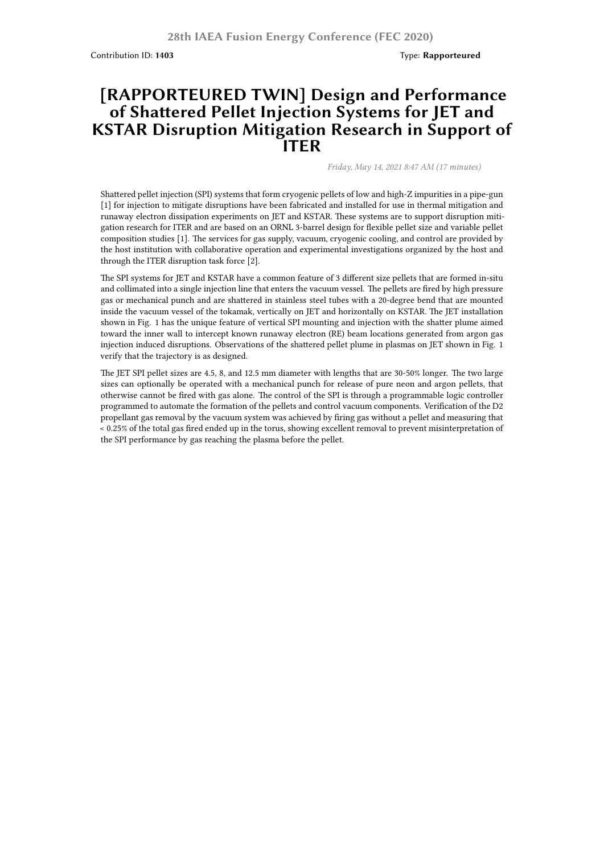Contribution ID: **1403** Type: **Rapporteured**

## **[RAPPORTEURED TWIN] Design and Performance of Shattered Pellet Injection Systems for JET and KSTAR Disruption Mitigation Research in Support of ITER**

*Friday, May 14, 2021 8:47 AM (17 minutes)*

Shattered pellet injection (SPI) systems that form cryogenic pellets of low and high-Z impurities in a pipe-gun [1] for injection to mitigate disruptions have been fabricated and installed for use in thermal mitigation and runaway electron dissipation experiments on JET and KSTAR. These systems are to support disruption mitigation research for ITER and are based on an ORNL 3-barrel design for flexible pellet size and variable pellet composition studies [1]. The services for gas supply, vacuum, cryogenic cooling, and control are provided by the host institution with collaborative operation and experimental investigations organized by the host and through the ITER disruption task force [2].

The SPI systems for JET and KSTAR have a common feature of 3 different size pellets that are formed in-situ and collimated into a single injection line that enters the vacuum vessel. The pellets are fired by high pressure gas or mechanical punch and are shattered in stainless steel tubes with a 20-degree bend that are mounted inside the vacuum vessel of the tokamak, vertically on JET and horizontally on KSTAR. The JET installation shown in Fig. 1 has the unique feature of vertical SPI mounting and injection with the shatter plume aimed toward the inner wall to intercept known runaway electron (RE) beam locations generated from argon gas injection induced disruptions. Observations of the shattered pellet plume in plasmas on JET shown in Fig. 1 verify that the trajectory is as designed.

The JET SPI pellet sizes are 4.5, 8, and 12.5 mm diameter with lengths that are 30-50% longer. The two large sizes can optionally be operated with a mechanical punch for release of pure neon and argon pellets, that otherwise cannot be fired with gas alone. The control of the SPI is through a programmable logic controller programmed to automate the formation of the pellets and control vacuum components. Verification of the D2 propellant gas removal by the vacuum system was achieved by firing gas without a pellet and measuring that < 0.25% of the total gas fired ended up in the torus, showing excellent removal to prevent misinterpretation of the SPI performance by gas reaching the plasma before the pellet.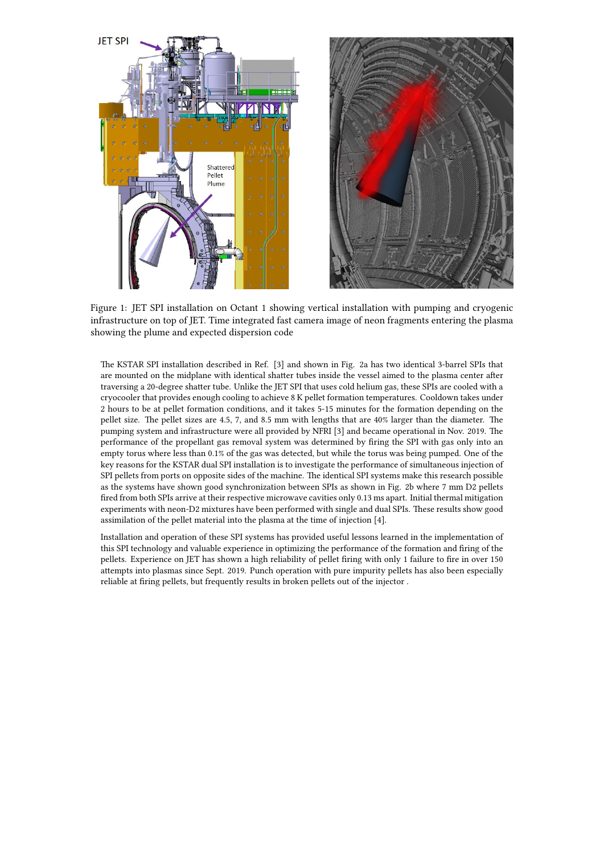

Figure 1: JET SPI installation on Octant 1 showing vertical installation with pumping and cryogenic infrastructure on top of JET. Time integrated fast camera image of neon fragments entering the plasma showing the plume and expected dispersion code

The KSTAR SPI installation described in Ref. [3] and shown in Fig. 2a has two identical 3-barrel SPIs that are mounted on the midplane with identical shatter tubes inside the vessel aimed to the plasma center after traversing a 20-degree shatter tube. Unlike the JET SPI that uses cold helium gas, these SPIs are cooled with a cryocooler that provides enough cooling to achieve 8 K pellet formation temperatures. Cooldown takes under 2 hours to be at pellet formation conditions, and it takes 5-15 minutes for the formation depending on the pellet size. The pellet sizes are 4.5, 7, and 8.5 mm with lengths that are 40% larger than the diameter. The pumping system and infrastructure were all provided by NFRI [3] and became operational in Nov. 2019. The performance of the propellant gas removal system was determined by firing the SPI with gas only into an empty torus where less than 0.1% of the gas was detected, but while the torus was being pumped. One of the key reasons for the KSTAR dual SPI installation is to investigate the performance of simultaneous injection of SPI pellets from ports on opposite sides of the machine. The identical SPI systems make this research possible as the systems have shown good synchronization between SPIs as shown in Fig. 2b where 7 mm D2 pellets fired from both SPIs arrive at their respective microwave cavities only 0.13 ms apart. Initial thermal mitigation experiments with neon-D2 mixtures have been performed with single and dual SPIs. These results show good assimilation of the pellet material into the plasma at the time of injection [4].

Installation and operation of these SPI systems has provided useful lessons learned in the implementation of this SPI technology and valuable experience in optimizing the performance of the formation and firing of the pellets. Experience on JET has shown a high reliability of pellet firing with only 1 failure to fire in over 150 attempts into plasmas since Sept. 2019. Punch operation with pure impurity pellets has also been especially reliable at firing pellets, but frequently results in broken pellets out of the injector .